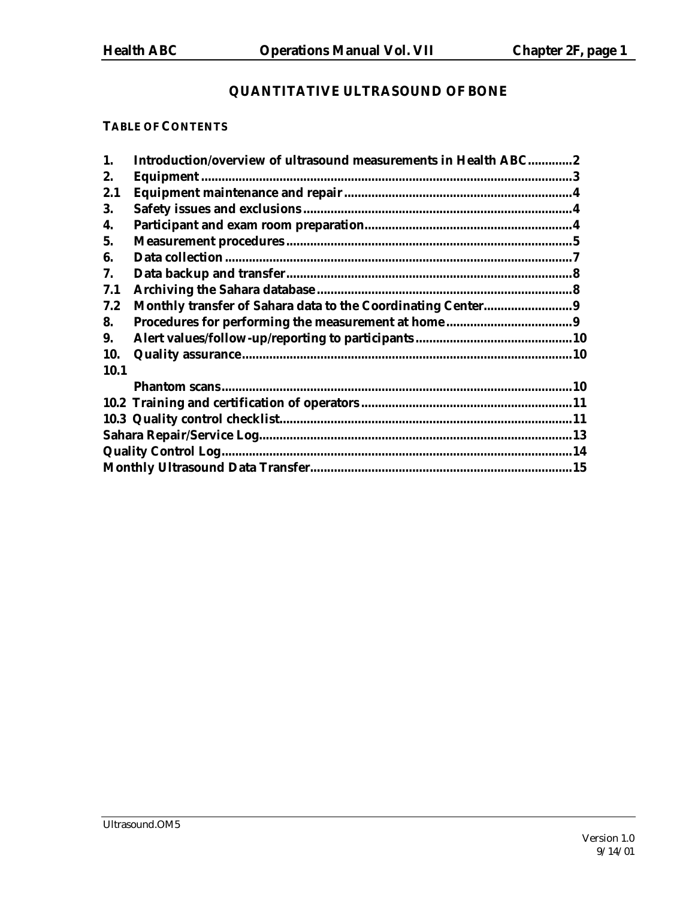# **QUANTITATIVE ULTRASOUND OF BONE**

# **TABLE OF CONTENTS**

| 1.   | Introduction/overview of ultrasound measurements in Health ABC2 |  |
|------|-----------------------------------------------------------------|--|
| 2.   |                                                                 |  |
| 2.1  |                                                                 |  |
| 3.   |                                                                 |  |
| 4.   |                                                                 |  |
| 5.   |                                                                 |  |
| 6.   |                                                                 |  |
| 7.   |                                                                 |  |
| 7.1  |                                                                 |  |
| 7.2  |                                                                 |  |
| 8.   |                                                                 |  |
| 9.   |                                                                 |  |
| 10.  |                                                                 |  |
| 10.1 |                                                                 |  |
|      |                                                                 |  |
|      |                                                                 |  |
|      |                                                                 |  |
|      |                                                                 |  |
|      |                                                                 |  |
|      |                                                                 |  |
|      |                                                                 |  |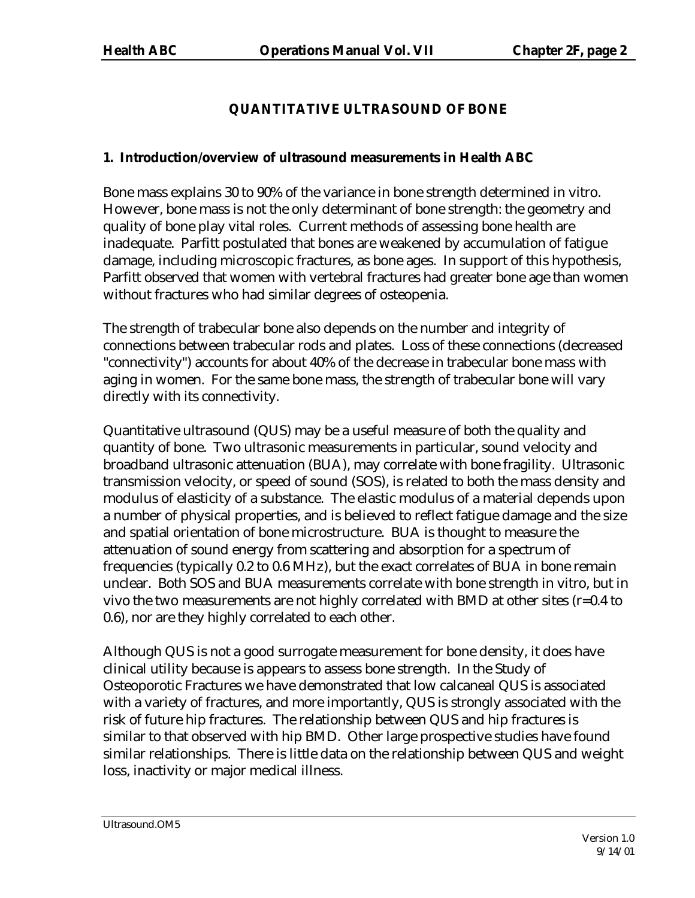# **QUANTITATIVE ULTRASOUND OF BONE**

# **1. Introduction/overview of ultrasound measurements in Health ABC**

Bone mass explains 30 to 90% of the variance in bone strength determined in vitro. However, bone mass is not the only determinant of bone strength: the geometry and quality of bone play vital roles. Current methods of assessing bone health are inadequate. Parfitt postulated that bones are weakened by accumulation of fatigue damage, including microscopic fractures, as bone ages. In support of this hypothesis, Parfitt observed that women with vertebral fractures had greater bone age than women without fractures who had similar degrees of osteopenia.

The strength of trabecular bone also depends on the number and integrity of connections between trabecular rods and plates. Loss of these connections (decreased "connectivity") accounts for about 40% of the decrease in trabecular bone mass with aging in women. For the same bone mass, the strength of trabecular bone will vary directly with its connectivity.

Quantitative ultrasound (QUS) may be a useful measure of both the quality and quantity of bone. Two ultrasonic measurements in particular, sound velocity and broadband ultrasonic attenuation (BUA), may correlate with bone fragility. Ultrasonic transmission velocity, or speed of sound (SOS), is related to both the mass density and modulus of elasticity of a substance. The elastic modulus of a material depends upon a number of physical properties, and is believed to reflect fatigue damage and the size and spatial orientation of bone microstructure. BUA is thought to measure the attenuation of sound energy from scattering and absorption for a spectrum of frequencies (typically 0.2 to 0.6 MHz), but the exact correlates of BUA in bone remain unclear. Both SOS and BUA measurements correlate with bone strength in vitro, but in vivo the two measurements are not highly correlated with BMD at other sites (r=0.4 to 0.6), nor are they highly correlated to each other.

Although QUS is not a good surrogate measurement for bone density, it does have clinical utility because is appears to assess bone strength. In the Study of Osteoporotic Fractures we have demonstrated that low calcaneal QUS is associated with a variety of fractures, and more importantly, QUS is strongly associated with the risk of future hip fractures. The relationship between QUS and hip fractures is similar to that observed with hip BMD. Other large prospective studies have found similar relationships. There is little data on the relationship between QUS and weight loss, inactivity or major medical illness.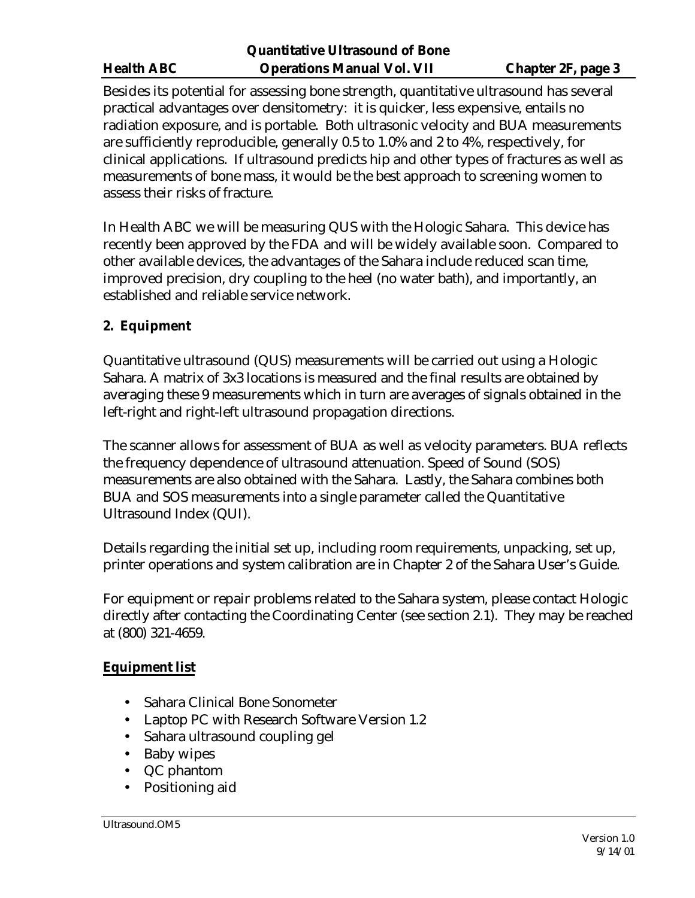Besides its potential for assessing bone strength, quantitative ultrasound has several practical advantages over densitometry: it is quicker, less expensive, entails no radiation exposure, and is portable. Both ultrasonic velocity and BUA measurements are sufficiently reproducible, generally 0.5 to 1.0% and 2 to 4%, respectively, for clinical applications. If ultrasound predicts hip and other types of fractures as well as measurements of bone mass, it would be the best approach to screening women to assess their risks of fracture.

In Health ABC we will be measuring QUS with the Hologic Sahara. This device has recently been approved by the FDA and will be widely available soon. Compared to other available devices, the advantages of the Sahara include reduced scan time, improved precision, dry coupling to the heel (no water bath), and importantly, an established and reliable service network.

# **2. Equipment**

Quantitative ultrasound (QUS) measurements will be carried out using a Hologic Sahara. A matrix of 3x3 locations is measured and the final results are obtained by averaging these 9 measurements which in turn are averages of signals obtained in the left-right and right-left ultrasound propagation directions.

The scanner allows for assessment of BUA as well as velocity parameters. BUA reflects the frequency dependence of ultrasound attenuation. Speed of Sound (SOS) measurements are also obtained with the Sahara. Lastly, the Sahara combines both BUA and SOS measurements into a single parameter called the Quantitative Ultrasound Index (QUI).

Details regarding the initial set up, including room requirements, unpacking, set up, printer operations and system calibration are in Chapter 2 of the Sahara User's Guide.

For equipment or repair problems related to the Sahara system, please contact Hologic directly after contacting the Coordinating Center (see section 2.1). They may be reached at (800) 321-4659.

# **Equipment list**

- Sahara Clinical Bone Sonometer
- Laptop PC with Research Software Version 1.2
- Sahara ultrasound coupling gel
- Baby wipes
- QC phantom
- Positioning aid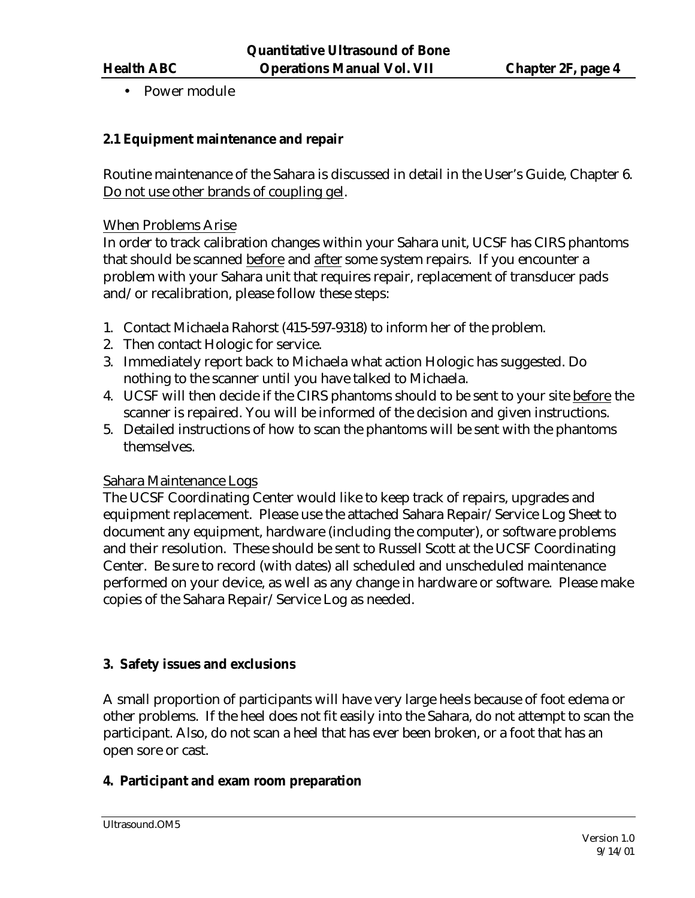• Power module

# **2.1 Equipment maintenance and repair**

Routine maintenance of the Sahara is discussed in detail in the User's Guide, Chapter 6. Do not use other brands of coupling gel.

### When Problems Arise

In order to track calibration changes within your Sahara unit, UCSF has CIRS phantoms that should be scanned before and after some system repairs. If you encounter a problem with your Sahara unit that requires repair, replacement of transducer pads and/or recalibration, please follow these steps:

- 1. Contact Michaela Rahorst (415-597-9318) to inform her of the problem.
- 2. Then contact Hologic for service.
- 3. Immediately report back to Michaela what action Hologic has suggested. Do nothing to the scanner until you have talked to Michaela.
- 4. UCSF will then decide if the CIRS phantoms should to be sent to your site before the scanner is repaired. You will be informed of the decision and given instructions.
- 5. Detailed instructions of how to scan the phantoms will be sent with the phantoms themselves.

### Sahara Maintenance Logs

The UCSF Coordinating Center would like to keep track of repairs, upgrades and equipment replacement. Please use the attached Sahara Repair/Service Log Sheet to document any equipment, hardware (including the computer), or software problems and their resolution. These should be sent to Russell Scott at the UCSF Coordinating Center. Be sure to record (with dates) all scheduled and unscheduled maintenance performed on your device, as well as any change in hardware or software. Please make copies of the Sahara Repair/Service Log as needed.

### **3. Safety issues and exclusions**

A small proportion of participants will have very large heels because of foot edema or other problems. If the heel does not fit easily into the Sahara, do not attempt to scan the participant. Also, do not scan a heel that has ever been broken, or a foot that has an open sore or cast.

# **4. Participant and exam room preparation**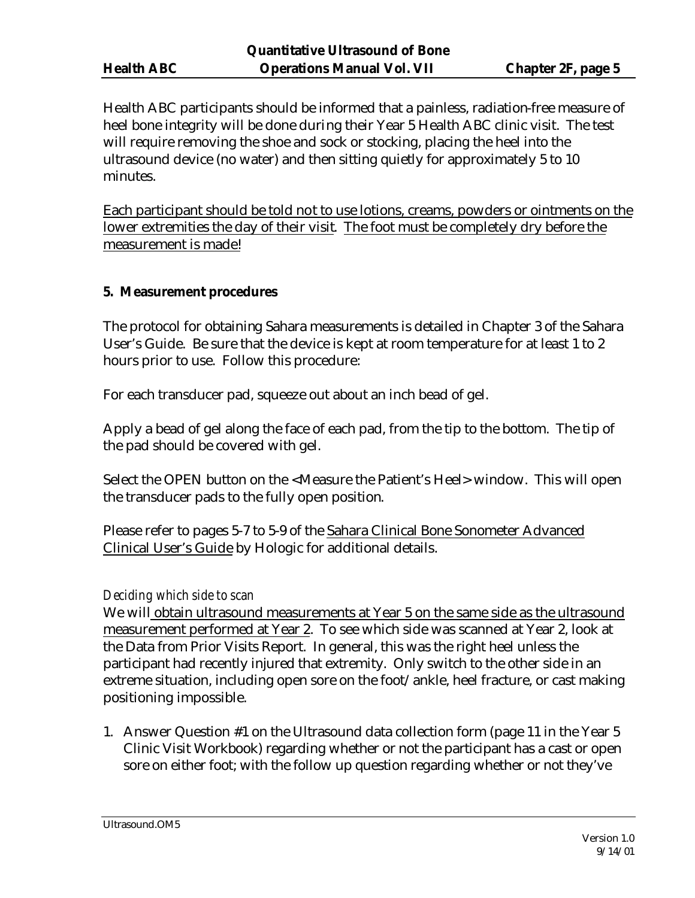Health ABC participants should be informed that a painless, radiation-free measure of heel bone integrity will be done during their Year 5 Health ABC clinic visit. The test will require removing the shoe and sock or stocking, placing the heel into the ultrasound device (no water) and then sitting quietly for approximately 5 to 10 minutes.

Each participant should be told not to use lotions, creams, powders or ointments on the lower extremities the day of their visit. The foot must be completely dry before the measurement is made!

## **5. Measurement procedures**

The protocol for obtaining Sahara measurements is detailed in Chapter 3 of the Sahara User's Guide. Be sure that the device is kept at room temperature for at least 1 to 2 hours prior to use. Follow this procedure:

For each transducer pad, squeeze out about an inch bead of gel.

Apply a bead of gel along the face of each pad, from the tip to the bottom. The tip of the pad should be covered with gel.

Select the OPEN button on the <Measure the Patient's Heel> window. This will open the transducer pads to the fully open position.

Please refer to pages 5-7 to 5-9 of the Sahara Clinical Bone Sonometer Advanced Clinical User's Guide by Hologic for additional details.

### *Deciding which side to scan*

We will obtain ultrasound measurements at Year 5 on the same side as the ultrasound measurement performed at Year 2. To see which side was scanned at Year 2, look at the Data from Prior Visits Report. In general, this was the right heel unless the participant had recently injured that extremity. Only switch to the other side in an extreme situation, including open sore on the foot/ankle, heel fracture, or cast making positioning impossible.

1. Answer Question #1 on the Ultrasound data collection form (page 11 in the Year 5 Clinic Visit Workbook) regarding whether or not the participant has a cast or open sore on either foot; with the follow up question regarding whether or not they've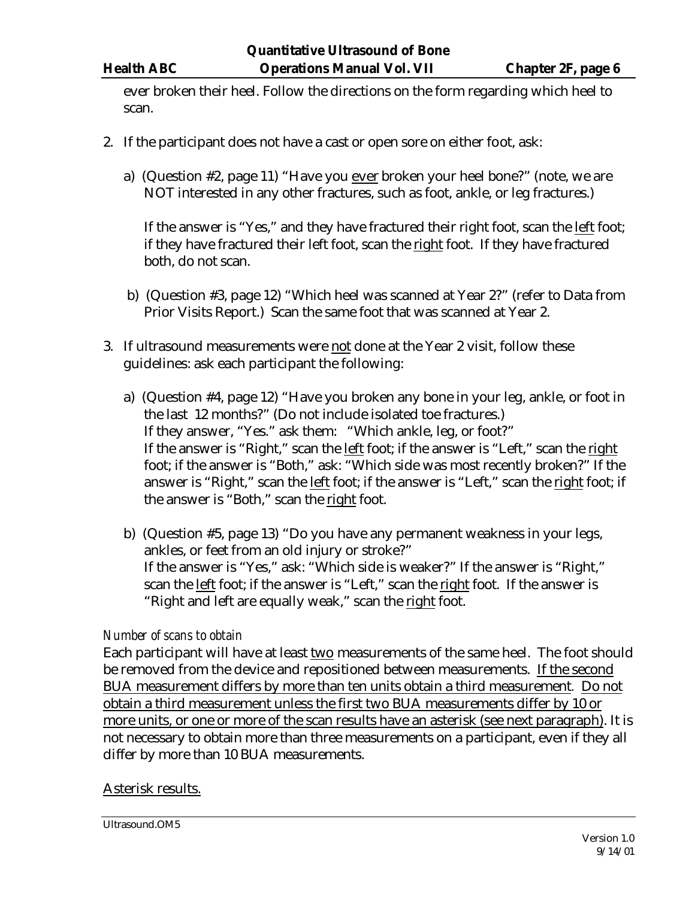ever broken their heel. Follow the directions on the form regarding which heel to scan.

- 2. If the participant does not have a cast or open sore on either foot, ask:
	- a) (Question #2, page 11) "Have you ever broken your heel bone?" (note, we are NOT interested in any other fractures, such as foot, ankle, or leg fractures.)

If the answer is "Yes," and they have fractured their right foot, scan the left foot; if they have fractured their left foot, scan the right foot. If they have fractured both, do not scan.

- b) (Question #3, page 12) "Which heel was scanned at Year 2?" (refer to Data from Prior Visits Report.) Scan the same foot that was scanned at Year 2.
- 3. If ultrasound measurements were not done at the Year 2 visit, follow these guidelines: ask each participant the following:
	- a) (Question #4, page 12) "Have you broken any bone in your leg, ankle, or foot in the last 12 months?" (Do not include isolated toe fractures.) If they answer, "Yes." ask them: "Which ankle, leg, or foot?" If the answer is "Right," scan the left foot; if the answer is "Left," scan the right foot; if the answer is "Both," ask: "Which side was most recently broken?" If the answer is "Right," scan the left foot; if the answer is "Left," scan the right foot; if the answer is "Both," scan the right foot.
	- b) (Question #5, page 13) "Do you have any permanent weakness in your legs, ankles, or feet from an old injury or stroke?" If the answer is "Yes," ask: "Which side is weaker?" If the answer is "Right," scan the left foot; if the answer is "Left," scan the right foot. If the answer is "Right and left are equally weak," scan the right foot.

### *Number of scans to obtain*

Each participant will have at least two measurements of the same heel. The foot should be removed from the device and repositioned between measurements. If the second BUA measurement differs by more than ten units obtain a third measurement*.* Do not obtain a third measurement unless the first two BUA measurements differ by 10 or more units, or one or more of the scan results have an asterisk (see next paragraph). It is not necessary to obtain more than three measurements on a participant, even if they all differ by more than 10 BUA measurements.

### Asterisk results.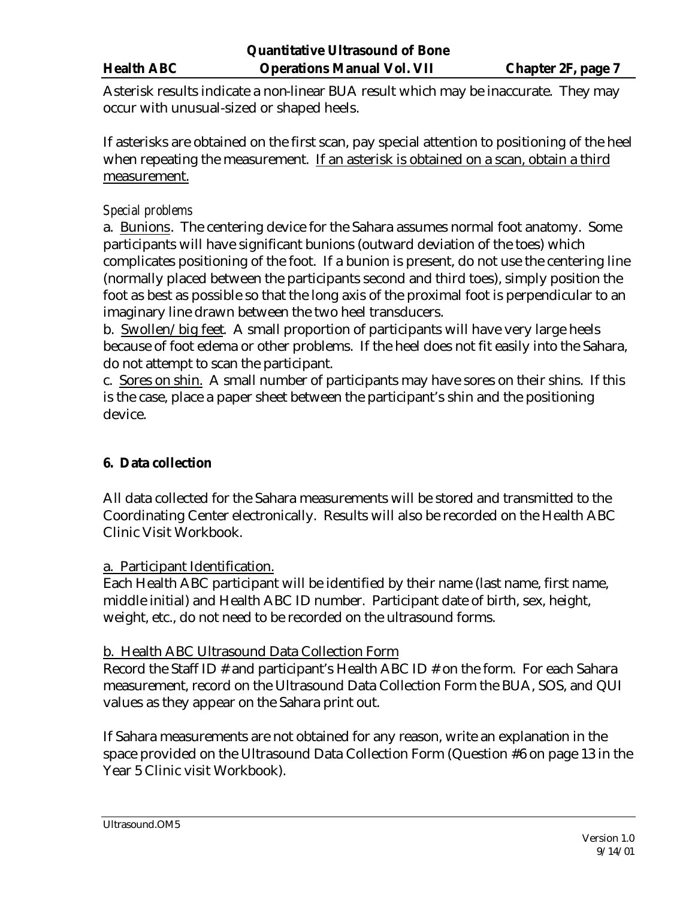Asterisk results indicate a non-linear BUA result which may be inaccurate. They may occur with unusual-sized or shaped heels.

If asterisks are obtained on the first scan, pay special attention to positioning of the heel when repeating the measurement. If an asterisk is obtained on a scan, obtain a third measurement.

## *Special problems*

a. Bunions. The centering device for the Sahara assumes normal foot anatomy. Some participants will have significant bunions (outward deviation of the toes) which complicates positioning of the foot. If a bunion is present, do not use the centering line (normally placed between the participants second and third toes), simply position the foot as best as possible so that the long axis of the proximal foot is perpendicular to an imaginary line drawn between the two heel transducers.

b. Swollen/big feet. A small proportion of participants will have very large heels because of foot edema or other problems. If the heel does not fit easily into the Sahara, do not attempt to scan the participant.

c. Sores on shin. A small number of participants may have sores on their shins. If this is the case, place a paper sheet between the participant's shin and the positioning device.

# **6. Data collection**

All data collected for the Sahara measurements will be stored and transmitted to the Coordinating Center electronically. Results will also be recorded on the Health ABC Clinic Visit Workbook.

### a. Participant Identification.

Each Health ABC participant will be identified by their name (last name, first name, middle initial) and Health ABC ID number. Participant date of birth, sex, height, weight, etc., do not need to be recorded on the ultrasound forms.

### b. Health ABC Ultrasound Data Collection Form

Record the Staff ID # and participant's Health ABC ID # on the form. For each Sahara measurement, record on the Ultrasound Data Collection Form the BUA, SOS, and QUI values as they appear on the Sahara print out.

If Sahara measurements are not obtained for any reason, write an explanation in the space provided on the Ultrasound Data Collection Form (Question #6 on page 13 in the Year 5 Clinic visit Workbook).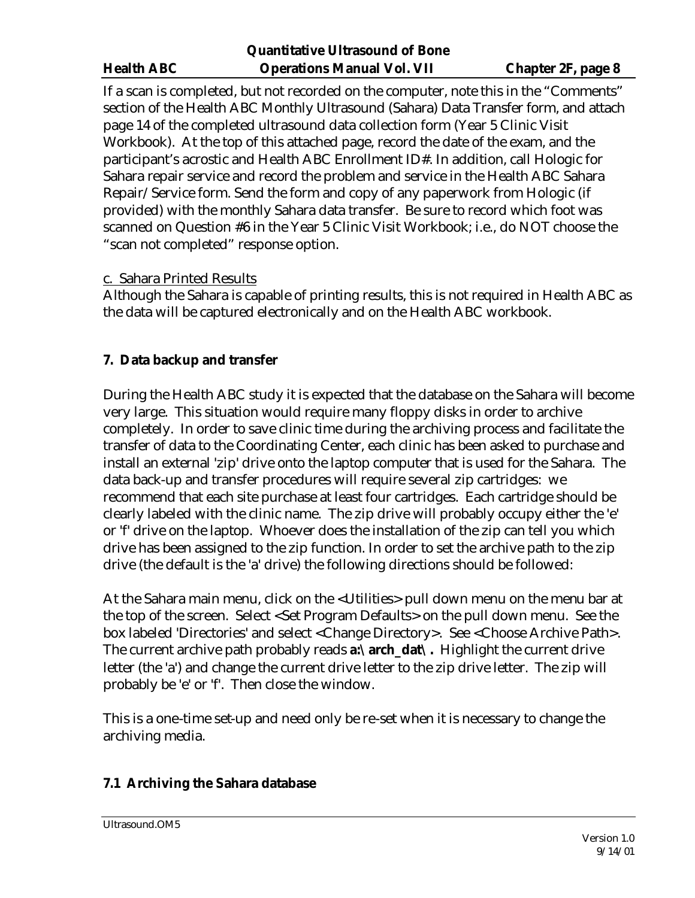If a scan is completed, but not recorded on the computer, note this in the "Comments" section of the Health ABC Monthly Ultrasound (Sahara) Data Transfer form, and attach page 14 of the completed ultrasound data collection form (Year 5 Clinic Visit Workbook). At the top of this attached page, record the date of the exam, and the participant's acrostic and Health ABC Enrollment ID#. In addition, call Hologic for Sahara repair service and record the problem and service in the Health ABC Sahara Repair/Service form. Send the form and copy of any paperwork from Hologic (if provided) with the monthly Sahara data transfer. Be sure to record which foot was scanned on Question #6 in the Year 5 Clinic Visit Workbook; i.e., do NOT choose the "scan not completed" response option.

# c. Sahara Printed Results

Although the Sahara is capable of printing results, this is not required in Health ABC as the data will be captured electronically and on the Health ABC workbook.

# **7. Data backup and transfer**

During the Health ABC study it is expected that the database on the Sahara will become very large. This situation would require many floppy disks in order to archive completely. In order to save clinic time during the archiving process and facilitate the transfer of data to the Coordinating Center, each clinic has been asked to purchase and install an external 'zip' drive onto the laptop computer that is used for the Sahara. The data back-up and transfer procedures will require several zip cartridges: we recommend that each site purchase at least four cartridges. Each cartridge should be clearly labeled with the clinic name. The zip drive will probably occupy either the 'e' or 'f' drive on the laptop. Whoever does the installation of the zip can tell you which drive has been assigned to the zip function. In order to set the archive path to the zip drive (the default is the 'a' drive) the following directions should be followed:

At the Sahara main menu, click on the <Utilities> pull down menu on the menu bar at the top of the screen. Select <Set Program Defaults> on the pull down menu. See the box labeled 'Directories' and select <Change Directory>. See <Choose Archive Path>. The current archive path probably reads **a:\arch\_dat\.** Highlight the current drive letter (the 'a') and change the current drive letter to the zip drive letter. The zip will probably be 'e' or 'f'. Then close the window.

This is a one-time set-up and need only be re-set when it is necessary to change the archiving media.

# **7.1 Archiving the Sahara database**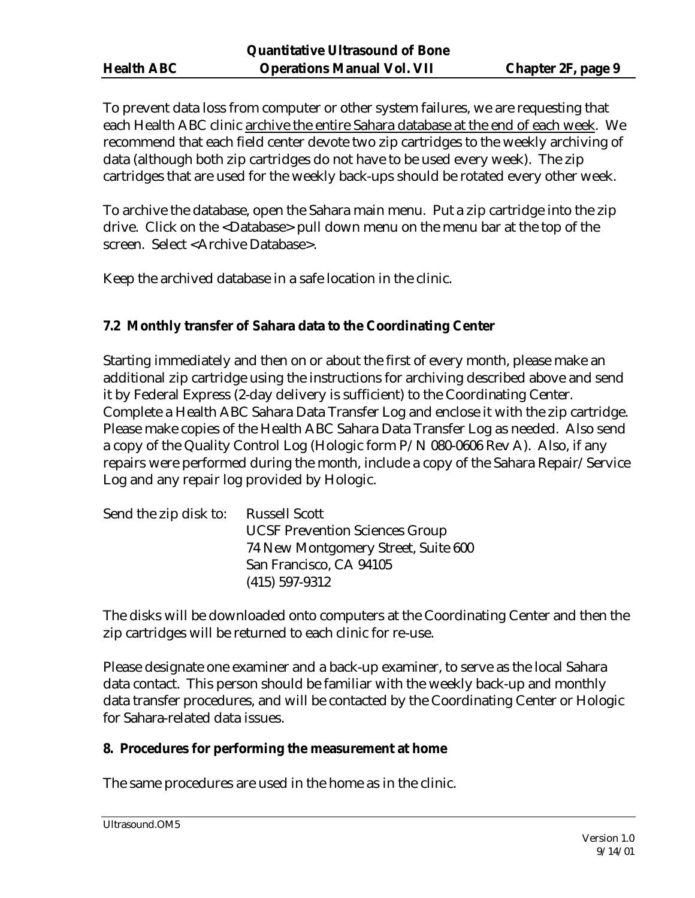To prevent data loss from computer or other system failures, we are requesting that each Health ABC clinic archive the entire Sahara database at the end of each week. We recommend that each field center devote two zip cartridges to the weekly archiving of data (although both zip cartridges do not have to be used every week). The zip cartridges that are used for the weekly back-ups should be rotated every other week.

To archive the database, open the Sahara main menu. Put a zip cartridge into the zip drive. Click on the <Database> pull down menu on the menu bar at the top of the screen. Select <Archive Database>.

Keep the archived database in a safe location in the clinic.

# **7.2 Monthly transfer of Sahara data to the Coordinating Center**

Starting immediately and then on or about the first of every month, please make an additional zip cartridge using the instructions for archiving described above and send it by Federal Express (2-day delivery is sufficient) to the Coordinating Center. Complete a Health ABC Sahara Data Transfer Log and enclose it with the zip cartridge. Please make copies of the Health ABC Sahara Data Transfer Log as needed. Also send a copy of the Quality Control Log (Hologic form P/N 080-0606 Rev A). Also, if any repairs were performed during the month, include a copy of the Sahara Repair/Service Log and any repair log provided by Hologic.

| Send the zip disk to: | Russell Scott                         |
|-----------------------|---------------------------------------|
|                       | <b>UCSF Prevention Sciences Group</b> |
|                       | 74 New Montgomery Street, Suite 600   |
|                       | San Francisco, CA 94105               |
|                       | $(415)$ 597-9312                      |

The disks will be downloaded onto computers at the Coordinating Center and then the zip cartridges will be returned to each clinic for re-use.

Please designate one examiner and a back-up examiner, to serve as the local Sahara data contact. This person should be familiar with the weekly back-up and monthly data transfer procedures, and will be contacted by the Coordinating Center or Hologic for Sahara-related data issues.

### **8. Procedures for performing the measurement at home**

The same procedures are used in the home as in the clinic.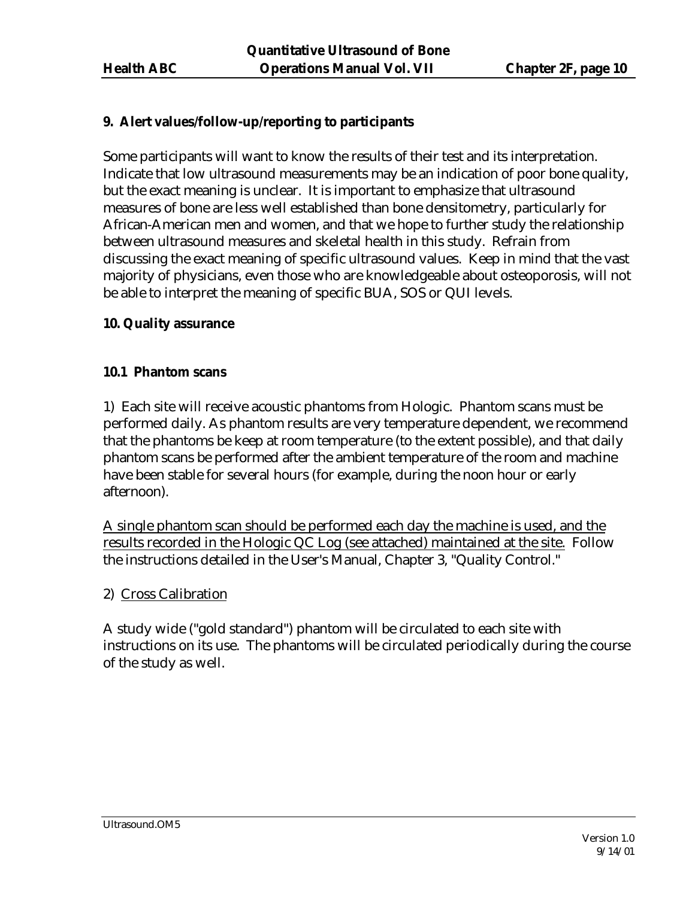# **9. Alert values/follow-up/reporting to participants**

Some participants will want to know the results of their test and its interpretation. Indicate that low ultrasound measurements may be an indication of poor bone quality, but the exact meaning is unclear. It is important to emphasize that ultrasound measures of bone are less well established than bone densitometry, particularly for African-American men and women, and that we hope to further study the relationship between ultrasound measures and skeletal health in this study. Refrain from discussing the exact meaning of specific ultrasound values. Keep in mind that the vast majority of physicians, even those who are knowledgeable about osteoporosis, will not be able to interpret the meaning of specific BUA, SOS or QUI levels.

### **10. Quality assurance**

#### **10.1 Phantom scans**

1) Each site will receive acoustic phantoms from Hologic. Phantom scans must be performed daily. As phantom results are very temperature dependent, we recommend that the phantoms be keep at room temperature (to the extent possible), and that daily phantom scans be performed after the ambient temperature of the room and machine have been stable for several hours (for example, during the noon hour or early afternoon).

A single phantom scan should be performed each day the machine is used, and the results recorded in the Hologic QC Log (see attached) maintained at the site. Follow the instructions detailed in the User's Manual, Chapter 3, "Quality Control."

### 2) Cross Calibration

A study wide ("gold standard") phantom will be circulated to each site with instructions on its use. The phantoms will be circulated periodically during the course of the study as well.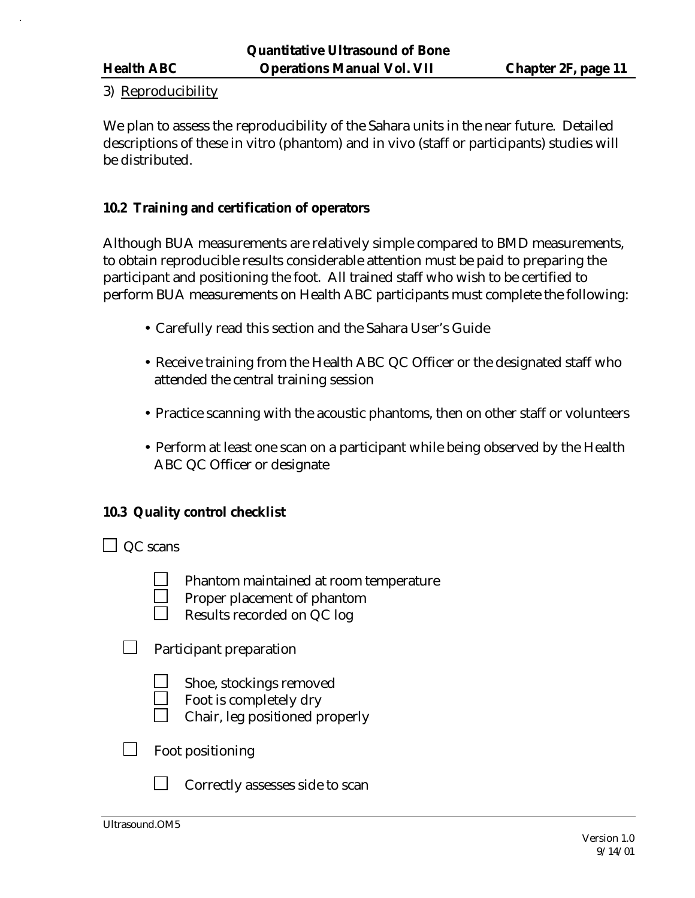#### 3) Reproducibility

We plan to assess the reproducibility of the Sahara units in the near future. Detailed descriptions of these in vitro (phantom) and in vivo (staff or participants) studies will be distributed.

### **10.2 Training and certification of operators**

Although BUA measurements are relatively simple compared to BMD measurements, to obtain reproducible results considerable attention must be paid to preparing the participant and positioning the foot. All trained staff who wish to be certified to perform BUA measurements on Health ABC participants must complete the following:

- Carefully read this section and the Sahara User's Guide
- Receive training from the Health ABC QC Officer or the designated staff who attended the central training session
- Practice scanning with the acoustic phantoms, then on other staff or volunteers
- Perform at least one scan on a participant while being observed by the Health ABC QC Officer or designate

### **10.3 Quality control checklist**

 $\Box$  QC scans

- Phantom maintained at room temperature
- Proper placement of phantom
- Results recorded on QC log
- $\mathcal{L}^{\mathcal{A}}$ Participant preparation
	- Shoe, stockings removed
	- Foot is completely dry
	- Chair, leg positioned properly
- Foot positioning
	- Correctly assesses side to scan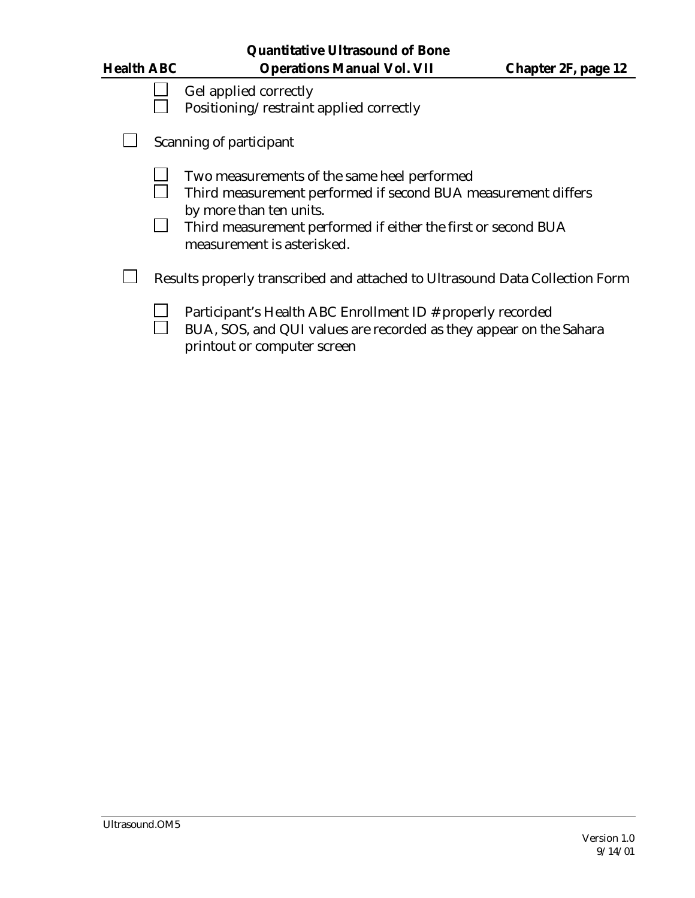| <b>Health ABC</b> | <b>Quantitative Ultrasound of Bone</b><br><b>Operations Manual Vol. VII</b>                                                                                                                                                            | <b>Chapter 2F, page 12</b> |
|-------------------|----------------------------------------------------------------------------------------------------------------------------------------------------------------------------------------------------------------------------------------|----------------------------|
|                   | Gel applied correctly<br>Positioning/restraint applied correctly                                                                                                                                                                       |                            |
|                   | Scanning of participant                                                                                                                                                                                                                |                            |
|                   | Two measurements of the same heel performed<br>Third measurement performed if second BUA measurement differs<br>by more than ten units.<br>Third measurement performed if either the first or second BUA<br>measurement is asterisked. |                            |
|                   | Results properly transcribed and attached to Ultrasound Data Collection Form                                                                                                                                                           |                            |
|                   | Participant's Health ABC Enrollment ID # properly recorded<br>BUA, SOS, and QUI values are recorded as they appear on the Sahara<br>printout or computer screen                                                                        |                            |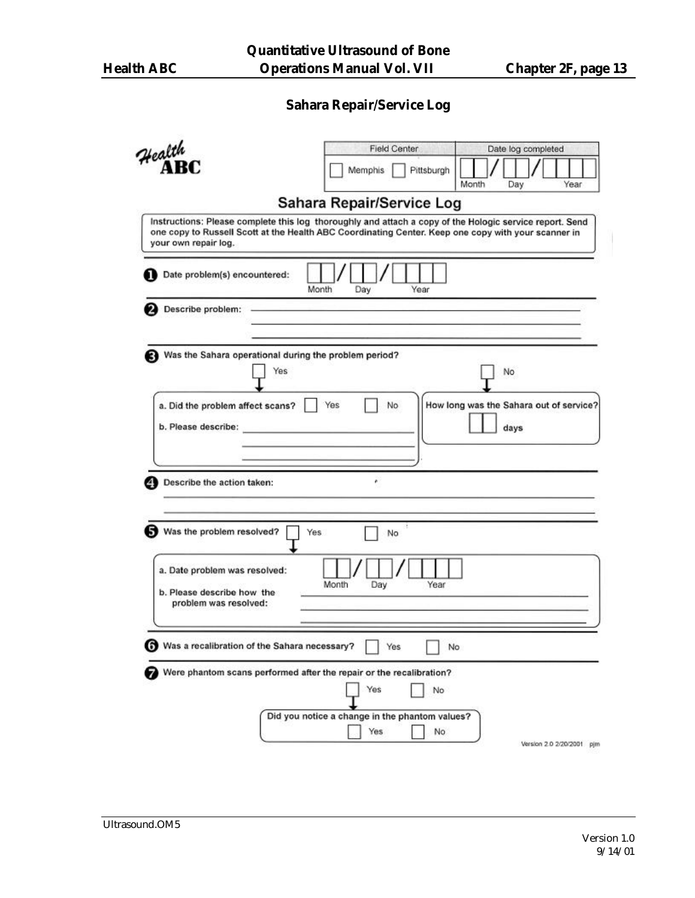# **Sahara Repair/Service Log**

|                                                                                                                                                                                                                                        | <b>Field Center</b>                                         | Date log completed                              |
|----------------------------------------------------------------------------------------------------------------------------------------------------------------------------------------------------------------------------------------|-------------------------------------------------------------|-------------------------------------------------|
| Health                                                                                                                                                                                                                                 | Pittsburgh<br>Memphis                                       | Month<br>Year<br>Day                            |
|                                                                                                                                                                                                                                        | Sahara Repair/Service Log                                   |                                                 |
| Instructions: Please complete this log thoroughly and attach a copy of the Hologic service report. Send<br>one copy to Russell Scott at the Health ABC Coordinating Center. Keep one copy with your scanner in<br>your own repair log. |                                                             |                                                 |
| Date problem(s) encountered:<br>Month                                                                                                                                                                                                  | Day<br>Year                                                 |                                                 |
| Describe problem:                                                                                                                                                                                                                      |                                                             |                                                 |
| Was the Sahara operational during the problem period?<br>Yes                                                                                                                                                                           |                                                             | No                                              |
| a. Did the problem affect scans?<br>b. Please describe:<br><u> De Carlos de Carlos de Carlos de Carlos de Carlos de Carlos de Carlos de Carlos de Carlos de Carlos de Carlos </u>                                                      | Yes<br>No                                                   | How long was the Sahara out of service?<br>days |
| Describe the action taken:                                                                                                                                                                                                             | ٠                                                           |                                                 |
| Was the problem resolved?<br>Yes                                                                                                                                                                                                       | No                                                          |                                                 |
| a. Date problem was resolved:<br>b. Please describe how the<br>problem was resolved:                                                                                                                                                   | Month<br>Year<br>Day                                        |                                                 |
| Was a recalibration of the Sahara necessary?                                                                                                                                                                                           | Yes<br>No                                                   |                                                 |
| Were phantom scans performed after the repair or the recalibration?                                                                                                                                                                    | Yes<br>No                                                   |                                                 |
|                                                                                                                                                                                                                                        | Did you notice a change in the phantom values?<br>Yes<br>No | Version 2.0 2/20/2001 pjm                       |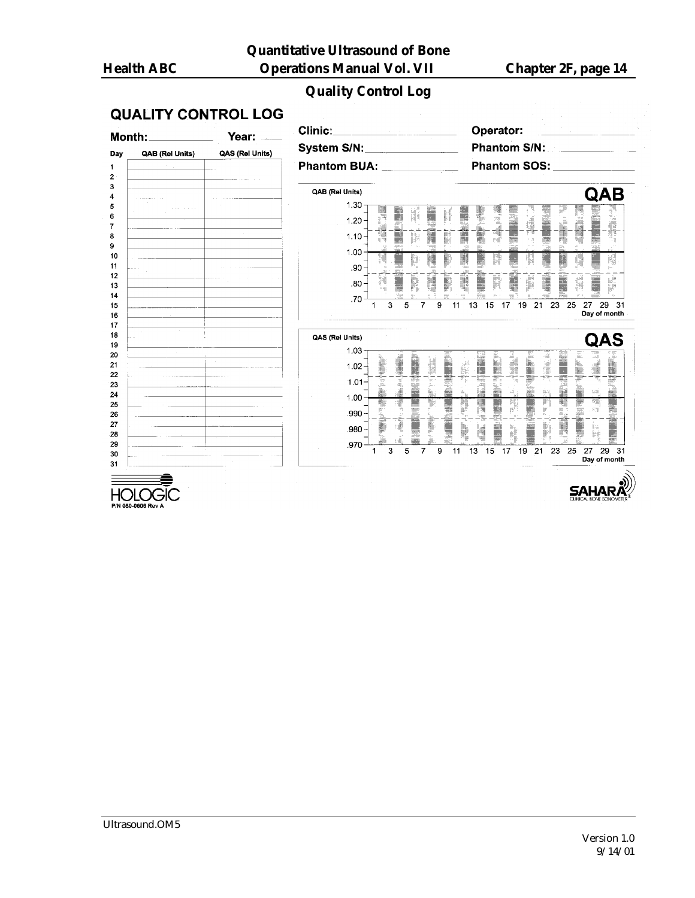# **Quality Control Log**

# **QUALITY CONTROL LOG**